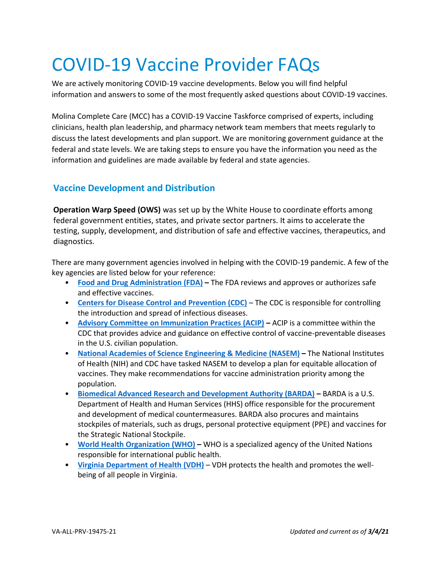# COVID-19 Vaccine Provider FAQs

We are actively monitoring COVID-19 vaccine developments. Below you will find helpful information and answers to some of the most frequently asked questions about COVID-19 vaccines.

Molina Complete Care (MCC) has a COVID-19 Vaccine Taskforce comprised of experts, including clinicians, health plan leadership, and pharmacy network team members that meets regularly to discuss the latest developments and plan support. We are monitoring government guidance at the federal and state levels. We are taking steps to ensure you have the information you need as the information and guidelines are made available by federal and state agencies.

### **Vaccine Development and Distribution**

**Operation Warp Speed (OWS)** was set up by the White House to coordinate efforts among federal government entities, states, and private sector partners. It aims to accelerate the testing, supply, development, and distribution of safe and effective vaccines, therapeutics, and diagnostics.

There are many government agencies involved in helping with the COVID-19 pandemic. A few of the key agencies are listed below for your reference:

- **[Food and Drug Administration \(FDA\)](https://www.fda.gov/home) –** The FDA reviews and approves or authorizes safe and effective vaccines.
- **[Centers for Disease Control and Prevention \(CDC\)](https://www.cdc.gov/)** The CDC is responsible for controlling the introduction and spread of infectious diseases.
- **[Advisory Committee on Immunization Practices \(ACIP\)](https://www.cdc.gov/vaccines/acip/index.html) –** ACIP is a committee within the CDC that provides advice and guidance on effective control of vaccine-preventable diseases in the U.S. civilian population.
- **[National Academies of Science Engineering & Medicine \(NASEM\)](https://www.nationalacademies.org/news/2020/10/national-academies-release-framework-for-equitable-allocation-of-a-covid-19-vaccine-for-adoption-by-hhs-state-tribal-local-and-territorial-authorities) –** The National Institutes of Health (NIH) and CDC have tasked NASEM to develop a plan for equitable allocation of vaccines. They make recommendations for vaccine administration priority among the population.
- **[Biomedical Advanced Research and Development Authority \(BARDA\)](https://www.nationalacademies.org/news/2020/10/national-academies-release-framework-for-equitable-allocation-of-a-covid-19-vaccine-for-adoption-by-hhs-state-tribal-local-and-territorial-authorities) –** BARDA is a U.S. Department of Health and Human Services (HHS) office responsible for the procurement and development of medical countermeasures. BARDA also procures and maintains stockpiles of materials, such as drugs, personal protective equipment (PPE) and vaccines for the Strategic National Stockpile.
- **[World Health Organization \(WHO\)](https://www.who.int/) –** WHO is a specialized agency of the United Nations responsible for international public health.
- **[Virginia Department of Health \(VDH\)](https://www.vdh.virginia.gov/)** VDH protects the health and promotes the wellbeing of all people in Virginia.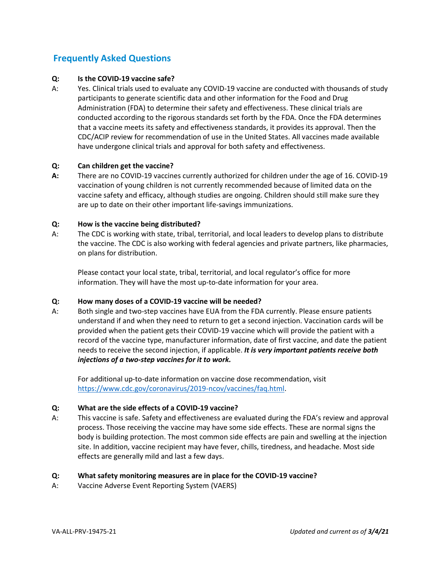## **Frequently Asked Questions**

#### **Q: Is the COVID-19 vaccine safe?**

A: Yes. Clinical trials used to evaluate any COVID-19 vaccine are conducted with thousands of study participants to generate scientific data and other information for the Food and Drug Administration (FDA) to determine their safety and effectiveness. These clinical trials are conducted according to the rigorous standards set forth by the FDA. Once the FDA determines that a vaccine meets its safety and effectiveness standards, it provides its approval. Then the CDC/ACIP review for recommendation of use in the United States. All vaccines made available have undergone clinical trials and approval for both safety and effectiveness.

#### **Q: Can children get the vaccine?**

**A:** There are no COVID-19 vaccines currently authorized for children under the age of 16. COVID-19 vaccination of young children is not currently recommended because of limited data on the vaccine safety and efficacy, although studies are ongoing. Children should still make sure they are up to date on their other important life-savings immunizations.

#### **Q: How is the vaccine being distributed?**

A: The CDC is working with state, tribal, territorial, and local leaders to develop plans to distribute the vaccine. The CDC is also working with federal agencies and private partners, like pharmacies, on plans for distribution.

Please contact your local state, tribal, territorial, and local regulator's office for more information. They will have the most up-to-date information for your area.

#### **Q: How many doses of a COVID-19 vaccine will be needed?**

A: Both single and two-step vaccines have EUA from the FDA currently. Please ensure patients understand if and when they need to return to get a second injection. Vaccination cards will be provided when the patient gets their COVID-19 vaccine which will provide the patient with a record of the vaccine type, manufacturer information, date of first vaccine, and date the patient needs to receive the second injection, if applicable. *It is very important patients receive both injections of a two-step vaccines for it to work.* 

For additional up-to-date information on vaccine dose recommendation, visit [https://www.cdc.gov/coronavirus/2019-ncov/vaccines/faq.html.](https://www.cdc.gov/coronavirus/2019-ncov/vaccines/faq.html)

#### **Q: What are the side effects of a COVID-19 vaccine?**

A: This vaccine is safe. Safety and effectiveness are evaluated during the FDA's review and approval process. Those receiving the vaccine may have some side effects. These are normal signs the body is building protection. The most common side effects are pain and swelling at the injection site. In addition, vaccine recipient may have fever, chills, tiredness, and headache. Most side effects are generally mild and last a few days.

#### **Q: What safety monitoring measures are in place for the COVID-19 vaccine?**

A: Vaccine Adverse Event Reporting System (VAERS)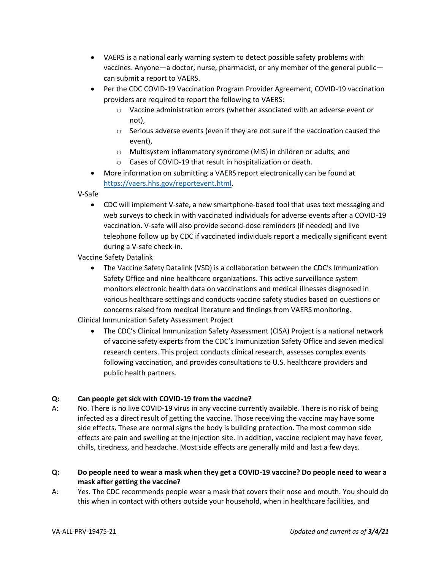- VAERS is a national early warning system to detect possible safety problems with vaccines. Anyone—a doctor, nurse, pharmacist, or any member of the general public can submit a report to VAERS.
- Per the CDC COVID-19 Vaccination Program Provider Agreement, COVID-19 vaccination providers are required to report the following to VAERS:
	- o Vaccine administration errors (whether associated with an adverse event or not),
	- o Serious adverse events (even if they are not sure if the vaccination caused the event),
	- o Multisystem inflammatory syndrome (MIS) in children or adults, and
	- o Cases of COVID-19 that result in hospitalization or death.
- More information on submitting a VAERS report electronically can be found at [https://vaers.hhs.gov/reportevent.html.](https://vaers.hhs.gov/reportevent.html)

V-Safe

• CDC will implement V-safe, a new smartphone-based tool that uses text messaging and web surveys to check in with vaccinated individuals for adverse events after a COVID-19 vaccination. V-safe will also provide second-dose reminders (if needed) and live telephone follow up by CDC if vaccinated individuals report a medically significant event during a V-safe check-in.

Vaccine Safety Datalink

• The Vaccine Safety Datalink (VSD) is a collaboration between the CDC's Immunization Safety Office and nine healthcare organizations. This active surveillance system monitors electronic health data on vaccinations and medical illnesses diagnosed in various healthcare settings and conducts vaccine safety studies based on questions or concerns raised from medical literature and findings from VAERS monitoring.

Clinical Immunization Safety Assessment Project

• The CDC's Clinical Immunization Safety Assessment (CISA) Project is a national network of vaccine safety experts from the CDC's Immunization Safety Office and seven medical research centers. This project conducts clinical research, assesses complex events following vaccination, and provides consultations to U.S. healthcare providers and public health partners.

#### **Q: Can people get sick with COVID-19 from the vaccine?**

A: No. There is no live COVID-19 virus in any vaccine currently available. There is no risk of being infected as a direct result of getting the vaccine. Those receiving the vaccine may have some side effects. These are normal signs the body is building protection. The most common side effects are pain and swelling at the injection site. In addition, vaccine recipient may have fever, chills, tiredness, and headache. Most side effects are generally mild and last a few days.

#### **Q: Do people need to wear a mask when they get a COVID-19 vaccine? Do people need to wear a mask after getting the vaccine?**

A: Yes. The CDC recommends people wear a mask that covers their nose and mouth. You should do this when in contact with others outside your household, when in healthcare facilities, and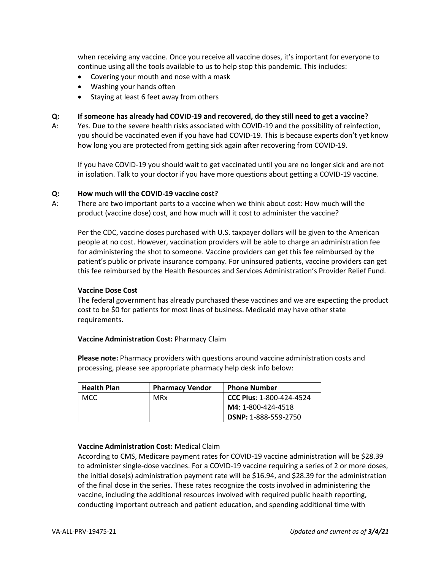when receiving any vaccine. Once you receive all vaccine doses, it's important for everyone to continue using all the tools available to us to help stop this pandemic. This includes:

- Covering your mouth and nose with a mask
- Washing your hands often
- Staying at least 6 feet away from others

#### **Q: If someone has already had COVID-19 and recovered, do they still need to get a vaccine?**

A: Yes. Due to the severe health risks associated with COVID-19 and the possibility of reinfection, you should be vaccinated even if you have had COVID-19. This is because experts don't yet know how long you are protected from getting sick again after recovering from COVID-19.

If you have COVID-19 you should wait to get vaccinated until you are no longer sick and are not in isolation. Talk to your doctor if you have more questions about getting a COVID-19 vaccine.

#### **Q: How much will the COVID-19 vaccine cost?**

A: There are two important parts to a vaccine when we think about cost: How much will the product (vaccine dose) cost, and how much will it cost to administer the vaccine?

Per the CDC, vaccine doses purchased with U.S. taxpayer dollars will be given to the American people at no cost. However, vaccination providers will be able to charge an administration fee for administering the shot to someone. Vaccine providers can get this fee reimbursed by the patient's public or private insurance company. For uninsured patients, vaccine providers can get this fee reimbursed by the Health Resources and Services Administration's Provider Relief Fund.

#### **Vaccine Dose Cost**

The federal government has already purchased these vaccines and we are expecting the product cost to be \$0 for patients for most lines of business. Medicaid may have other state requirements.

#### **Vaccine Administration Cost:** Pharmacy Claim

**Please note:** Pharmacy providers with questions around vaccine administration costs and processing, please see appropriate pharmacy help desk info below:

| <b>Health Plan</b> | <b>Pharmacy Vendor</b> | <b>Phone Number</b>             |
|--------------------|------------------------|---------------------------------|
| <b>MCC</b>         | MRx                    | <b>CCC Plus: 1-800-424-4524</b> |
|                    |                        | M4: 1-800-424-4518              |
|                    |                        | <b>DSNP: 1-888-559-2750</b>     |

#### **Vaccine Administration Cost:** Medical Claim

According to CMS, Medicare payment rates for COVID-19 vaccine administration will be \$28.39 to administer single-dose vaccines. For a COVID-19 vaccine requiring a series of 2 or more doses, the initial dose(s) administration payment rate will be \$16.94, and \$28.39 for the administration of the final dose in the series. These rates recognize the costs involved in administering the vaccine, including the additional resources involved with required public health reporting, conducting important outreach and patient education, and spending additional time with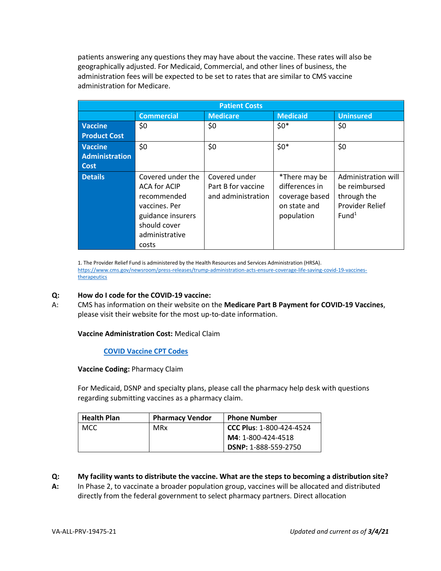patients answering any questions they may have about the vaccine. These rates will also be geographically adjusted. For Medicaid, Commercial, and other lines of business, the administration fees will be expected to be set to rates that are similar to CMS vaccine administration for Medicare.

| <b>Patient Costs</b>  |                                                                               |                                                           |                                                   |                                                     |  |  |
|-----------------------|-------------------------------------------------------------------------------|-----------------------------------------------------------|---------------------------------------------------|-----------------------------------------------------|--|--|
|                       | <b>Commercial</b>                                                             | <b>Medicare</b>                                           | <b>Medicaid</b>                                   | <b>Uninsured</b>                                    |  |  |
| <b>Vaccine</b>        | \$0                                                                           | \$0                                                       | $$0*$                                             | \$0                                                 |  |  |
| <b>Product Cost</b>   |                                                                               |                                                           |                                                   |                                                     |  |  |
| <b>Vaccine</b>        | \$0                                                                           | \$0                                                       | $$0*$                                             | \$0                                                 |  |  |
| <b>Administration</b> |                                                                               |                                                           |                                                   |                                                     |  |  |
| Cost                  |                                                                               |                                                           |                                                   |                                                     |  |  |
| <b>Details</b>        | Covered under the<br><b>ACA for ACIP</b><br>recommended                       | Covered under<br>Part B for vaccine<br>and administration | *There may be<br>differences in<br>coverage based | Administration will<br>be reimbursed<br>through the |  |  |
|                       | vaccines. Per<br>guidance insurers<br>should cover<br>administrative<br>costs |                                                           | on state and<br>population                        | <b>Provider Relief</b><br>Fund <sup>1</sup>         |  |  |

1. The Provider Relief Fund is administered by the Health Resources and Services Administration (HRSA). [https://www.cms.gov/newsroom/press-releases/trump-administration-acts-ensure-coverage-life-saving-covid-19-vaccines](https://www.cms.gov/newsroom/press-releases/trump-administration-acts-ensure-coverage-life-saving-covid-19-vaccines-therapeutics)[therapeutics](https://www.cms.gov/newsroom/press-releases/trump-administration-acts-ensure-coverage-life-saving-covid-19-vaccines-therapeutics)

#### **Q: How do I code for the COVID-19 vaccine:**

A: CMS has information on their website on the **Medicare Part B Payment for COVID-19 Vaccines**, please visit their website for the most up-to-date information.

#### **Vaccine Administration Cost:** Medical Claim

**[COVID Vaccine CPT Codes](https://www.cms.gov/medicare/medicare-part-b-drug-average-sales-price/covid-19-vaccines-and-monoclonal-antibodies)**

**Vaccine Coding:** Pharmacy Claim

For Medicaid, DSNP and specialty plans, please call the pharmacy help desk with questions regarding submitting vaccines as a pharmacy claim.

| <b>Health Plan</b> | <b>Pharmacy Vendor</b> | <b>Phone Number</b>             |
|--------------------|------------------------|---------------------------------|
| <b>MCC</b>         | MRx                    | <b>CCC Plus: 1-800-424-4524</b> |
|                    |                        | M4: 1-800-424-4518              |
|                    |                        | <b>DSNP: 1-888-559-2750</b>     |

#### **Q: My facility wants to distribute the vaccine. What are the steps to becoming a distribution site?**

**A:** In Phase 2, to vaccinate a broader population group, vaccines will be allocated and distributed directly from the federal government to select pharmacy partners. Direct allocation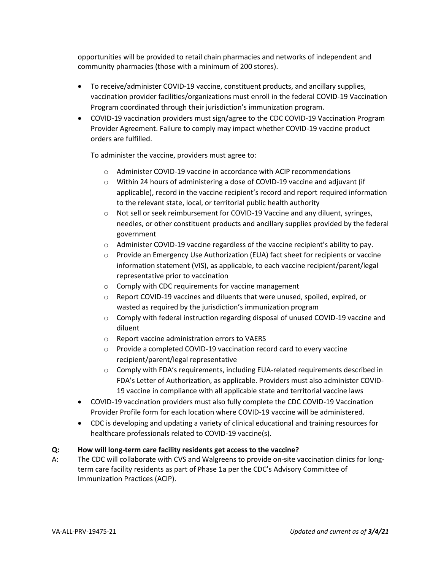opportunities will be provided to retail chain pharmacies and networks of independent and community pharmacies (those with a minimum of 200 stores).

- To receive/administer COVID-19 vaccine, constituent products, and ancillary supplies, vaccination provider facilities/organizations must enroll in the federal COVID-19 Vaccination Program coordinated through their jurisdiction's immunization program.
- COVID-19 vaccination providers must sign/agree to the CDC COVID-19 Vaccination Program Provider Agreement. Failure to comply may impact whether COVID-19 vaccine product orders are fulfilled.

To administer the vaccine, providers must agree to:

- o Administer COVID-19 vaccine in accordance with ACIP recommendations
- o Within 24 hours of administering a dose of COVID-19 vaccine and adjuvant (if applicable), record in the vaccine recipient's record and report required information to the relevant state, local, or territorial public health authority
- o Not sell or seek reimbursement for COVID-19 Vaccine and any diluent, syringes, needles, or other constituent products and ancillary supplies provided by the federal government
- o Administer COVID-19 vaccine regardless of the vaccine recipient's ability to pay.
- $\circ$  Provide an Emergency Use Authorization (EUA) fact sheet for recipients or vaccine information statement (VIS), as applicable, to each vaccine recipient/parent/legal representative prior to vaccination
- o Comply with CDC requirements for vaccine management
- o Report COVID-19 vaccines and diluents that were unused, spoiled, expired, or wasted as required by the jurisdiction's immunization program
- $\circ$  Comply with federal instruction regarding disposal of unused COVID-19 vaccine and diluent
- o Report vaccine administration errors to VAERS
- o Provide a completed COVID-19 vaccination record card to every vaccine recipient/parent/legal representative
- $\circ$  Comply with FDA's requirements, including EUA-related requirements described in FDA's Letter of Authorization, as applicable. Providers must also administer COVID-19 vaccine in compliance with all applicable state and territorial vaccine laws
- COVID-19 vaccination providers must also fully complete the CDC COVID-19 Vaccination Provider Profile form for each location where COVID-19 vaccine will be administered.
- CDC is developing and updating a variety of clinical educational and training resources for healthcare professionals related to COVID-19 vaccine(s).

#### **Q: How will long-term care facility residents get access to the vaccine?**

A: The CDC will collaborate with CVS and Walgreens to provide on-site vaccination clinics for longterm care facility residents as part of Phase 1a per the CDC's Advisory Committee of Immunization Practices (ACIP).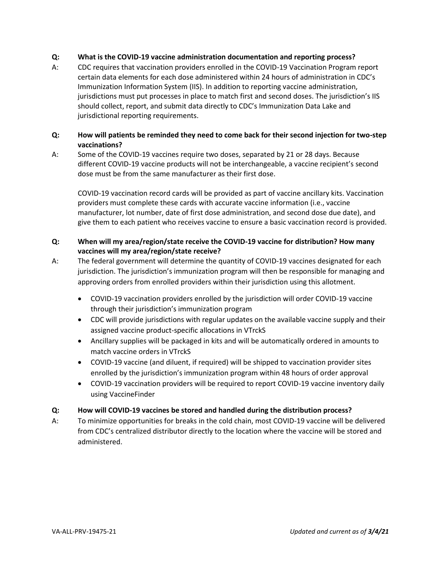#### **Q: What is the COVID-19 vaccine administration documentation and reporting process?**

A: CDC requires that vaccination providers enrolled in the COVID-19 Vaccination Program report certain data elements for each dose administered within 24 hours of administration in CDC's Immunization Information System (IIS). In addition to reporting vaccine administration, jurisdictions must put processes in place to match first and second doses. The jurisdiction's IIS should collect, report, and submit data directly to CDC's Immunization Data Lake and jurisdictional reporting requirements.

#### **Q: How will patients be reminded they need to come back for their second injection for two-step vaccinations?**

A: Some of the COVID-19 vaccines require two doses, separated by 21 or 28 days. Because different COVID-19 vaccine products will not be interchangeable, a vaccine recipient's second dose must be from the same manufacturer as their first dose.

COVID-19 vaccination record cards will be provided as part of vaccine ancillary kits. Vaccination providers must complete these cards with accurate vaccine information (i.e., vaccine manufacturer, lot number, date of first dose administration, and second dose due date), and give them to each patient who receives vaccine to ensure a basic vaccination record is provided.

#### **Q: When will my area/region/state receive the COVID-19 vaccine for distribution? How many vaccines will my area/region/state receive?**

- A: The federal government will determine the quantity of COVID-19 vaccines designated for each jurisdiction. The jurisdiction's immunization program will then be responsible for managing and approving orders from enrolled providers within their jurisdiction using this allotment.
	- COVID-19 vaccination providers enrolled by the jurisdiction will order COVID-19 vaccine through their jurisdiction's immunization program
	- CDC will provide jurisdictions with regular updates on the available vaccine supply and their assigned vaccine product-specific allocations in VTrckS
	- Ancillary supplies will be packaged in kits and will be automatically ordered in amounts to match vaccine orders in VTrckS
	- COVID-19 vaccine (and diluent, if required) will be shipped to vaccination provider sites enrolled by the jurisdiction's immunization program within 48 hours of order approval
	- COVID-19 vaccination providers will be required to report COVID-19 vaccine inventory daily using VaccineFinder

#### **Q: How will COVID-19 vaccines be stored and handled during the distribution process?**

A: To minimize opportunities for breaks in the cold chain, most COVID-19 vaccine will be delivered from CDC's centralized distributor directly to the location where the vaccine will be stored and administered.